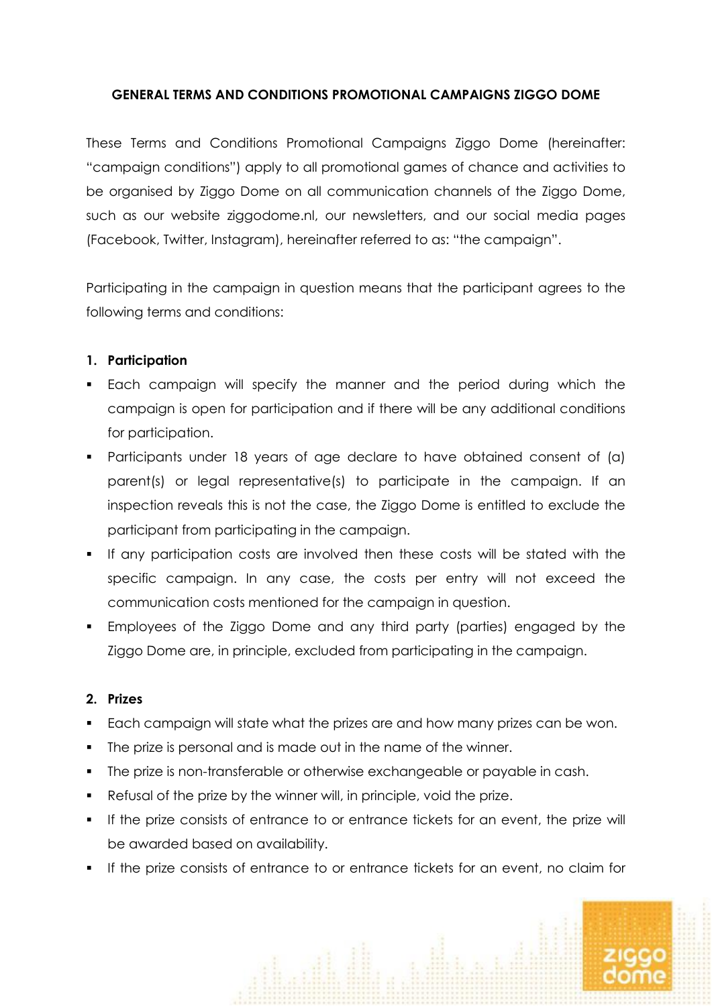# **GENERAL TERMS AND CONDITIONS PROMOTIONAL CAMPAIGNS ZIGGO DOME**

These Terms and Conditions Promotional Campaigns Ziggo Dome (hereinafter: "campaign conditions") apply to all promotional games of chance and activities to be organised by Ziggo Dome on all communication channels of the Ziggo Dome, such as our website ziggodome.nl, our newsletters, and our social media pages (Facebook, Twitter, Instagram), hereinafter referred to as: "the campaign".

Participating in the campaign in question means that the participant agrees to the following terms and conditions:

# **1. Participation**

- Each campaign will specify the manner and the period during which the campaign is open for participation and if there will be any additional conditions for participation.
- Participants under 18 years of age declare to have obtained consent of (a) parent(s) or legal representative(s) to participate in the campaign. If an inspection reveals this is not the case, the Ziggo Dome is entitled to exclude the participant from participating in the campaign.
- If any participation costs are involved then these costs will be stated with the specific campaign. In any case, the costs per entry will not exceed the communication costs mentioned for the campaign in question.
- Employees of the Ziggo Dome and any third party (parties) engaged by the Ziggo Dome are, in principle, excluded from participating in the campaign.

# **2. Prizes**

- Each campaign will state what the prizes are and how many prizes can be won.
- The prize is personal and is made out in the name of the winner.
- The prize is non-transferable or otherwise exchangeable or payable in cash.
- Refusal of the prize by the winner will, in principle, void the prize.
- **If the prize consists of entrance to or entrance tickets for an event, the prize will** be awarded based on availability.
- If the prize consists of entrance to or entrance tickets for an event, no claim for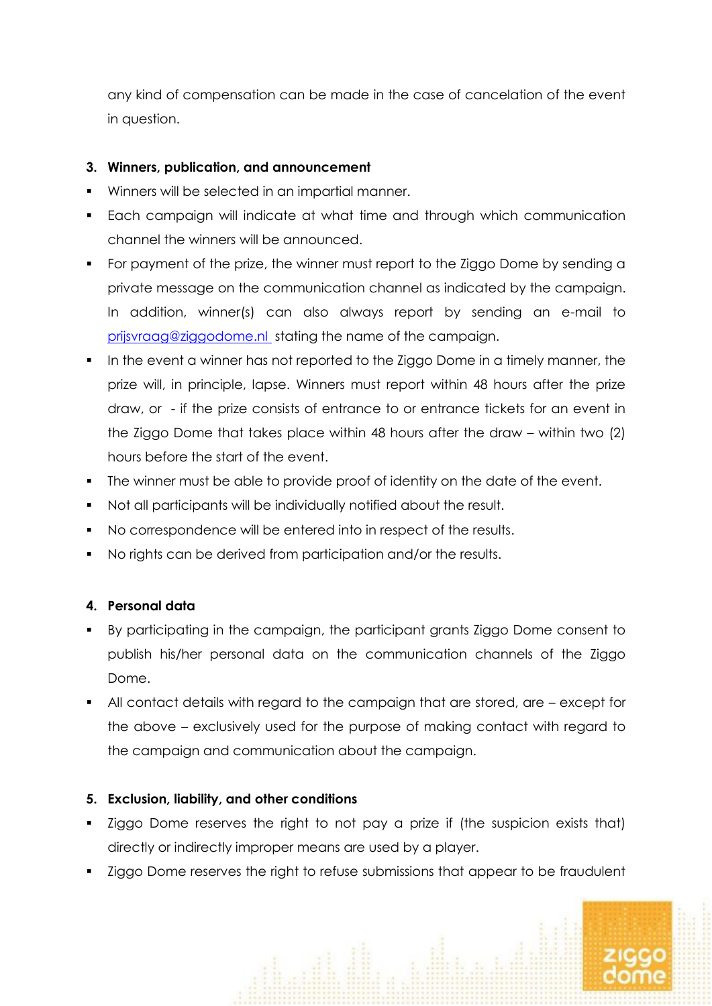any kind of compensation can be made in the case of cancelation of the event in question.

# **3. Winners, publication, and announcement**

- Winners will be selected in an impartial manner.
- Each campaign will indicate at what time and through which communication channel the winners will be announced.
- For payment of the prize, the winner must report to the Ziggo Dome by sending a private message on the communication channel as indicated by the campaign. In addition, winner(s) can also always report by sending an e-mail to [prijsvraag@ziggodome.nl](mailto:prijsvraag@ziggodome.nl%20/communicatie@ziggodome.nl) stating the name of the campaign.
- In the event a winner has not reported to the Ziggo Dome in a timely manner, the prize will, in principle, lapse. Winners must report within 48 hours after the prize draw, or - if the prize consists of entrance to or entrance tickets for an event in the Ziggo Dome that takes place within 48 hours after the draw – within two (2) hours before the start of the event.
- The winner must be able to provide proof of identity on the date of the event.
- Not all participants will be individually notified about the result.
- No correspondence will be entered into in respect of the results.
- No rights can be derived from participation and/or the results.

# **4. Personal data**

- By participating in the campaign, the participant grants Ziggo Dome consent to publish his/her personal data on the communication channels of the Ziggo Dome.
- All contact details with regard to the campaign that are stored, are except for the above – exclusively used for the purpose of making contact with regard to the campaign and communication about the campaign.

# **5. Exclusion, liability, and other conditions**

- Ziggo Dome reserves the right to not pay a prize if (the suspicion exists that) directly or indirectly improper means are used by a player.
- **EXT** Ziggo Dome reserves the right to refuse submissions that appear to be fraudulent